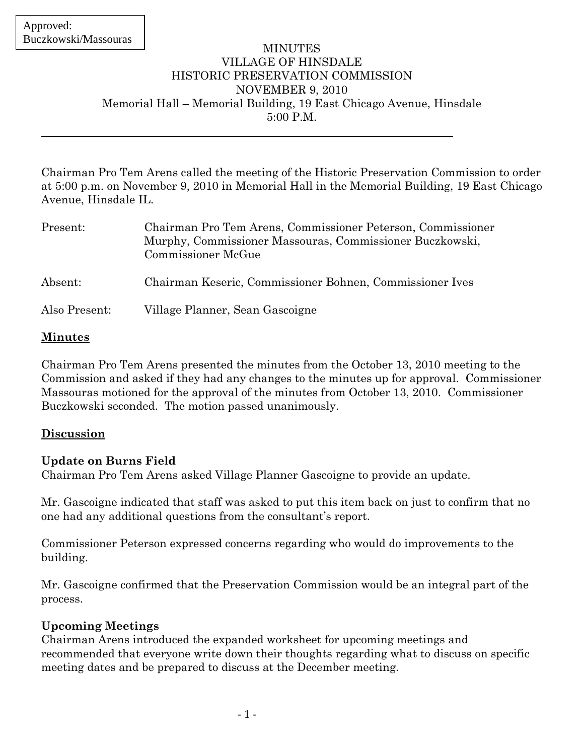#### **MINUTES** VILLAGE OF HINSDALE HISTORIC PRESERVATION COMMISSION NOVEMBER 9, 2010 Memorial Hall – Memorial Building, 19 East Chicago Avenue, Hinsdale 5:00 P.M.

Chairman Pro Tem Arens called the meeting of the Historic Preservation Commission to order at 5:00 p.m. on November 9, 2010 in Memorial Hall in the Memorial Building, 19 East Chicago Avenue, Hinsdale IL.

| Present:      | Chairman Pro Tem Arens, Commissioner Peterson, Commissioner<br>Murphy, Commissioner Massouras, Commissioner Buczkowski,<br>Commissioner McGue |
|---------------|-----------------------------------------------------------------------------------------------------------------------------------------------|
| Absent:       | Chairman Keseric, Commissioner Bohnen, Commissioner Ives                                                                                      |
| Also Present: | Village Planner, Sean Gascoigne                                                                                                               |

### **Minutes**

Chairman Pro Tem Arens presented the minutes from the October 13, 2010 meeting to the Commission and asked if they had any changes to the minutes up for approval. Commissioner Massouras motioned for the approval of the minutes from October 13, 2010. Commissioner Buczkowski seconded. The motion passed unanimously.

# **Discussion**

# **Update on Burns Field**

Chairman Pro Tem Arens asked Village Planner Gascoigne to provide an update.

Mr. Gascoigne indicated that staff was asked to put this item back on just to confirm that no one had any additional questions from the consultant's report.

Commissioner Peterson expressed concerns regarding who would do improvements to the building.

Mr. Gascoigne confirmed that the Preservation Commission would be an integral part of the process.

#### **Upcoming Meetings**

Chairman Arens introduced the expanded worksheet for upcoming meetings and recommended that everyone write down their thoughts regarding what to discuss on specific meeting dates and be prepared to discuss at the December meeting.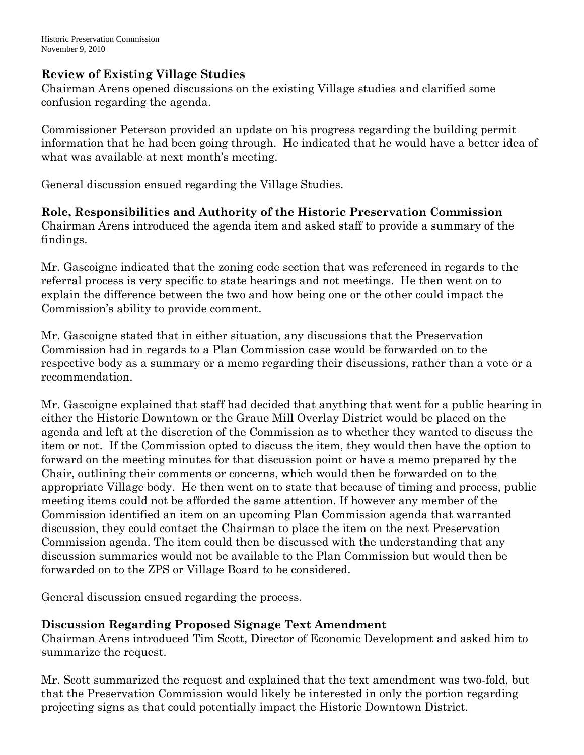### **Review of Existing Village Studies**

Chairman Arens opened discussions on the existing Village studies and clarified some confusion regarding the agenda.

Commissioner Peterson provided an update on his progress regarding the building permit information that he had been going through. He indicated that he would have a better idea of what was available at next month's meeting.

General discussion ensued regarding the Village Studies.

**Role, Responsibilities and Authority of the Historic Preservation Commission**  Chairman Arens introduced the agenda item and asked staff to provide a summary of the findings.

Mr. Gascoigne indicated that the zoning code section that was referenced in regards to the referral process is very specific to state hearings and not meetings. He then went on to explain the difference between the two and how being one or the other could impact the Commission's ability to provide comment.

Mr. Gascoigne stated that in either situation, any discussions that the Preservation Commission had in regards to a Plan Commission case would be forwarded on to the respective body as a summary or a memo regarding their discussions, rather than a vote or a recommendation.

Mr. Gascoigne explained that staff had decided that anything that went for a public hearing in either the Historic Downtown or the Graue Mill Overlay District would be placed on the agenda and left at the discretion of the Commission as to whether they wanted to discuss the item or not. If the Commission opted to discuss the item, they would then have the option to forward on the meeting minutes for that discussion point or have a memo prepared by the Chair, outlining their comments or concerns, which would then be forwarded on to the appropriate Village body. He then went on to state that because of timing and process, public meeting items could not be afforded the same attention. If however any member of the Commission identified an item on an upcoming Plan Commission agenda that warranted discussion, they could contact the Chairman to place the item on the next Preservation Commission agenda. The item could then be discussed with the understanding that any discussion summaries would not be available to the Plan Commission but would then be forwarded on to the ZPS or Village Board to be considered.

General discussion ensued regarding the process.

# **Discussion Regarding Proposed Signage Text Amendment**

Chairman Arens introduced Tim Scott, Director of Economic Development and asked him to summarize the request.

Mr. Scott summarized the request and explained that the text amendment was two-fold, but that the Preservation Commission would likely be interested in only the portion regarding projecting signs as that could potentially impact the Historic Downtown District.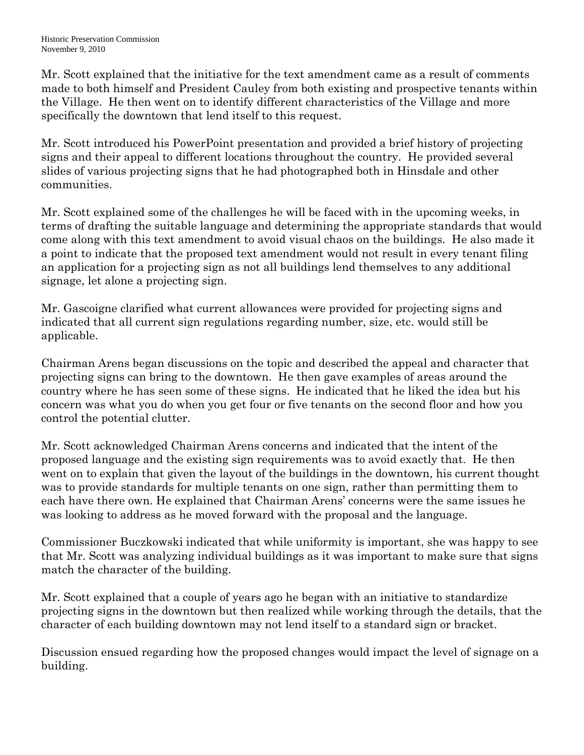Mr. Scott explained that the initiative for the text amendment came as a result of comments made to both himself and President Cauley from both existing and prospective tenants within the Village. He then went on to identify different characteristics of the Village and more specifically the downtown that lend itself to this request.

Mr. Scott introduced his PowerPoint presentation and provided a brief history of projecting signs and their appeal to different locations throughout the country. He provided several slides of various projecting signs that he had photographed both in Hinsdale and other communities.

Mr. Scott explained some of the challenges he will be faced with in the upcoming weeks, in terms of drafting the suitable language and determining the appropriate standards that would come along with this text amendment to avoid visual chaos on the buildings. He also made it a point to indicate that the proposed text amendment would not result in every tenant filing an application for a projecting sign as not all buildings lend themselves to any additional signage, let alone a projecting sign.

Mr. Gascoigne clarified what current allowances were provided for projecting signs and indicated that all current sign regulations regarding number, size, etc. would still be applicable.

Chairman Arens began discussions on the topic and described the appeal and character that projecting signs can bring to the downtown. He then gave examples of areas around the country where he has seen some of these signs. He indicated that he liked the idea but his concern was what you do when you get four or five tenants on the second floor and how you control the potential clutter.

Mr. Scott acknowledged Chairman Arens concerns and indicated that the intent of the proposed language and the existing sign requirements was to avoid exactly that. He then went on to explain that given the layout of the buildings in the downtown, his current thought was to provide standards for multiple tenants on one sign, rather than permitting them to each have there own. He explained that Chairman Arens' concerns were the same issues he was looking to address as he moved forward with the proposal and the language.

Commissioner Buczkowski indicated that while uniformity is important, she was happy to see that Mr. Scott was analyzing individual buildings as it was important to make sure that signs match the character of the building.

Mr. Scott explained that a couple of years ago he began with an initiative to standardize projecting signs in the downtown but then realized while working through the details, that the character of each building downtown may not lend itself to a standard sign or bracket.

Discussion ensued regarding how the proposed changes would impact the level of signage on a building.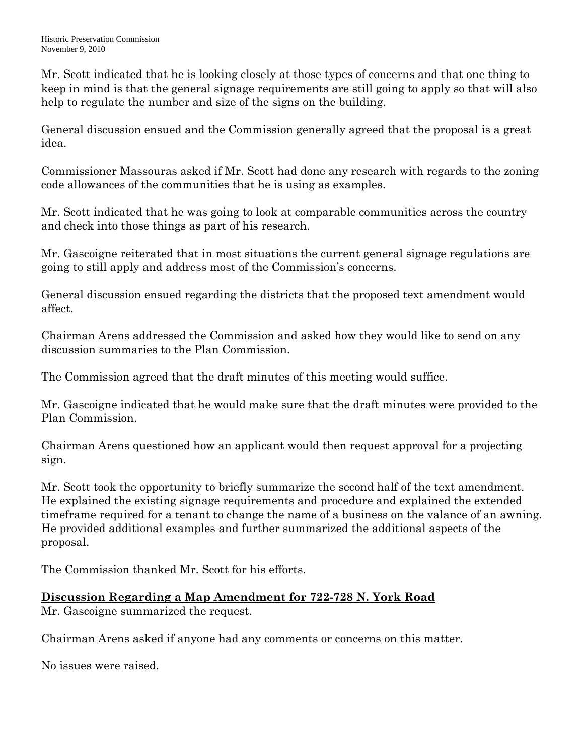Mr. Scott indicated that he is looking closely at those types of concerns and that one thing to keep in mind is that the general signage requirements are still going to apply so that will also help to regulate the number and size of the signs on the building.

General discussion ensued and the Commission generally agreed that the proposal is a great idea.

Commissioner Massouras asked if Mr. Scott had done any research with regards to the zoning code allowances of the communities that he is using as examples.

Mr. Scott indicated that he was going to look at comparable communities across the country and check into those things as part of his research.

Mr. Gascoigne reiterated that in most situations the current general signage regulations are going to still apply and address most of the Commission's concerns.

General discussion ensued regarding the districts that the proposed text amendment would affect.

Chairman Arens addressed the Commission and asked how they would like to send on any discussion summaries to the Plan Commission.

The Commission agreed that the draft minutes of this meeting would suffice.

Mr. Gascoigne indicated that he would make sure that the draft minutes were provided to the Plan Commission.

Chairman Arens questioned how an applicant would then request approval for a projecting sign.

Mr. Scott took the opportunity to briefly summarize the second half of the text amendment. He explained the existing signage requirements and procedure and explained the extended timeframe required for a tenant to change the name of a business on the valance of an awning. He provided additional examples and further summarized the additional aspects of the proposal.

The Commission thanked Mr. Scott for his efforts.

# **Discussion Regarding a Map Amendment for 722-728 N. York Road**

Mr. Gascoigne summarized the request.

Chairman Arens asked if anyone had any comments or concerns on this matter.

No issues were raised.